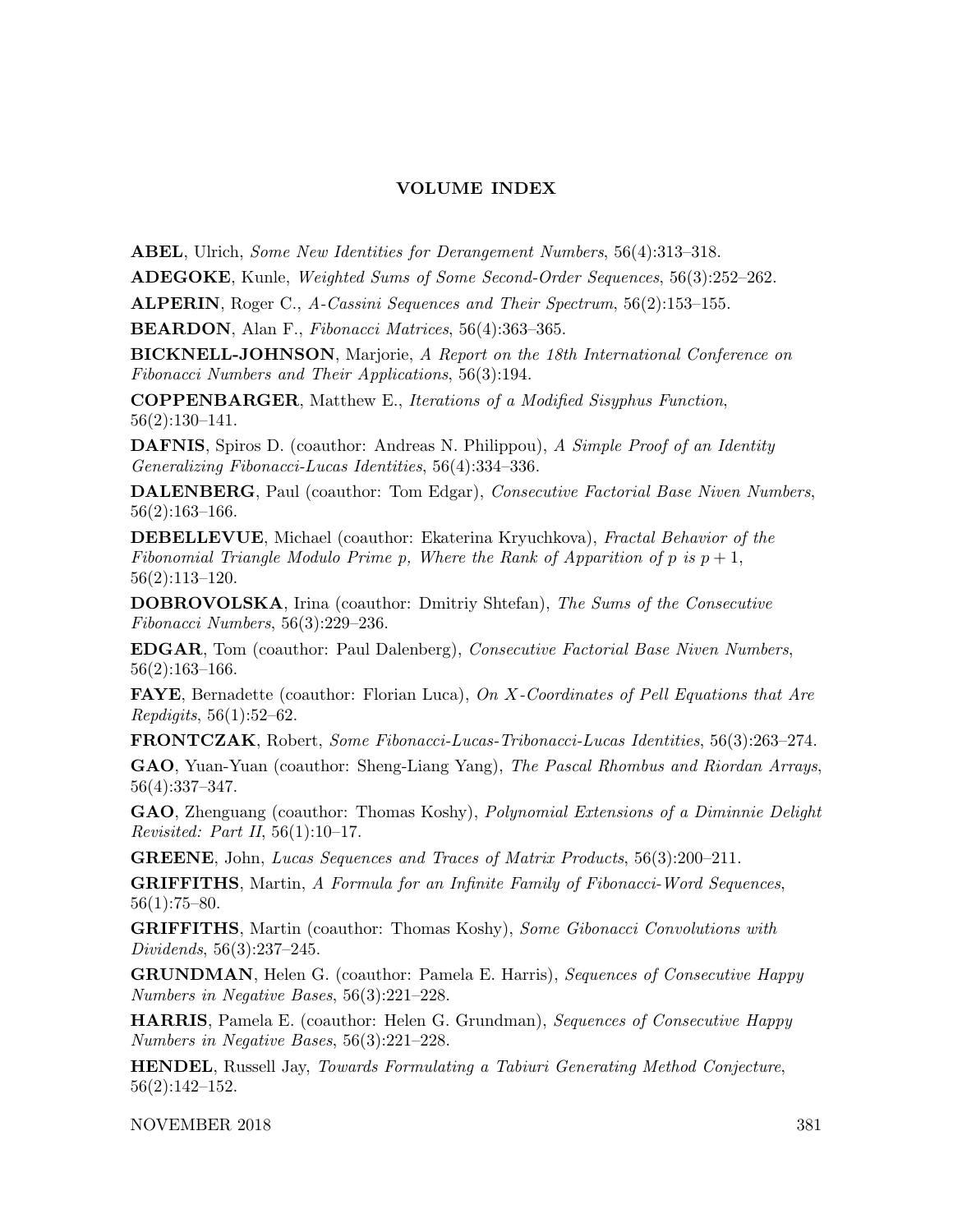## VOLUME INDEX

ABEL, Ulrich, Some New Identities for Derangement Numbers, 56(4):313–318.

ADEGOKE, Kunle, Weighted Sums of Some Second-Order Sequences, 56(3):252–262.

ALPERIN, Roger C., A-Cassini Sequences and Their Spectrum, 56(2):153–155.

BEARDON, Alan F., Fibonacci Matrices, 56(4):363–365.

**BICKNELL-JOHNSON**, Marjorie, A Report on the 18th International Conference on Fibonacci Numbers and Their Applications, 56(3):194.

COPPENBARGER, Matthew E., Iterations of a Modified Sisyphus Function, 56(2):130–141.

DAFNIS, Spiros D. (coauthor: Andreas N. Philippou), A Simple Proof of an Identity Generalizing Fibonacci-Lucas Identities, 56(4):334–336.

DALENBERG, Paul (coauthor: Tom Edgar), Consecutive Factorial Base Niven Numbers, 56(2):163–166.

DEBELLEVUE, Michael (coauthor: Ekaterina Kryuchkova), Fractal Behavior of the Fibonomial Triangle Modulo Prime p, Where the Rank of Apparition of p is  $p + 1$ , 56(2):113–120.

DOBROVOLSKA, Irina (coauthor: Dmitriy Shtefan), The Sums of the Consecutive Fibonacci Numbers, 56(3):229–236.

EDGAR, Tom (coauthor: Paul Dalenberg), Consecutive Factorial Base Niven Numbers, 56(2):163–166.

**FAYE**, Bernadette (coauthor: Florian Luca), On X-Coordinates of Pell Equations that Are Repdigits, 56(1):52–62.

FRONTCZAK, Robert, Some Fibonacci-Lucas-Tribonacci-Lucas Identities, 56(3):263–274.

GAO, Yuan-Yuan (coauthor: Sheng-Liang Yang), The Pascal Rhombus and Riordan Arrays, 56(4):337–347.

GAO, Zhenguang (coauthor: Thomas Koshy), Polynomial Extensions of a Diminnie Delight *Revisited: Part II*,  $56(1):10-17$ .

GREENE, John, Lucas Sequences and Traces of Matrix Products, 56(3):200–211.

GRIFFITHS, Martin, A Formula for an Infinite Family of Fibonacci-Word Sequences,  $56(1):75–80.$ 

GRIFFITHS, Martin (coauthor: Thomas Koshy), Some Gibonacci Convolutions with Dividends, 56(3):237–245.

GRUNDMAN, Helen G. (coauthor: Pamela E. Harris), Sequences of Consecutive Happy Numbers in Negative Bases, 56(3):221–228.

HARRIS, Pamela E. (coauthor: Helen G. Grundman), Sequences of Consecutive Happy Numbers in Negative Bases, 56(3):221–228.

HENDEL, Russell Jay, Towards Formulating a Tabiuri Generating Method Conjecture, 56(2):142–152.

NOVEMBER 2018 381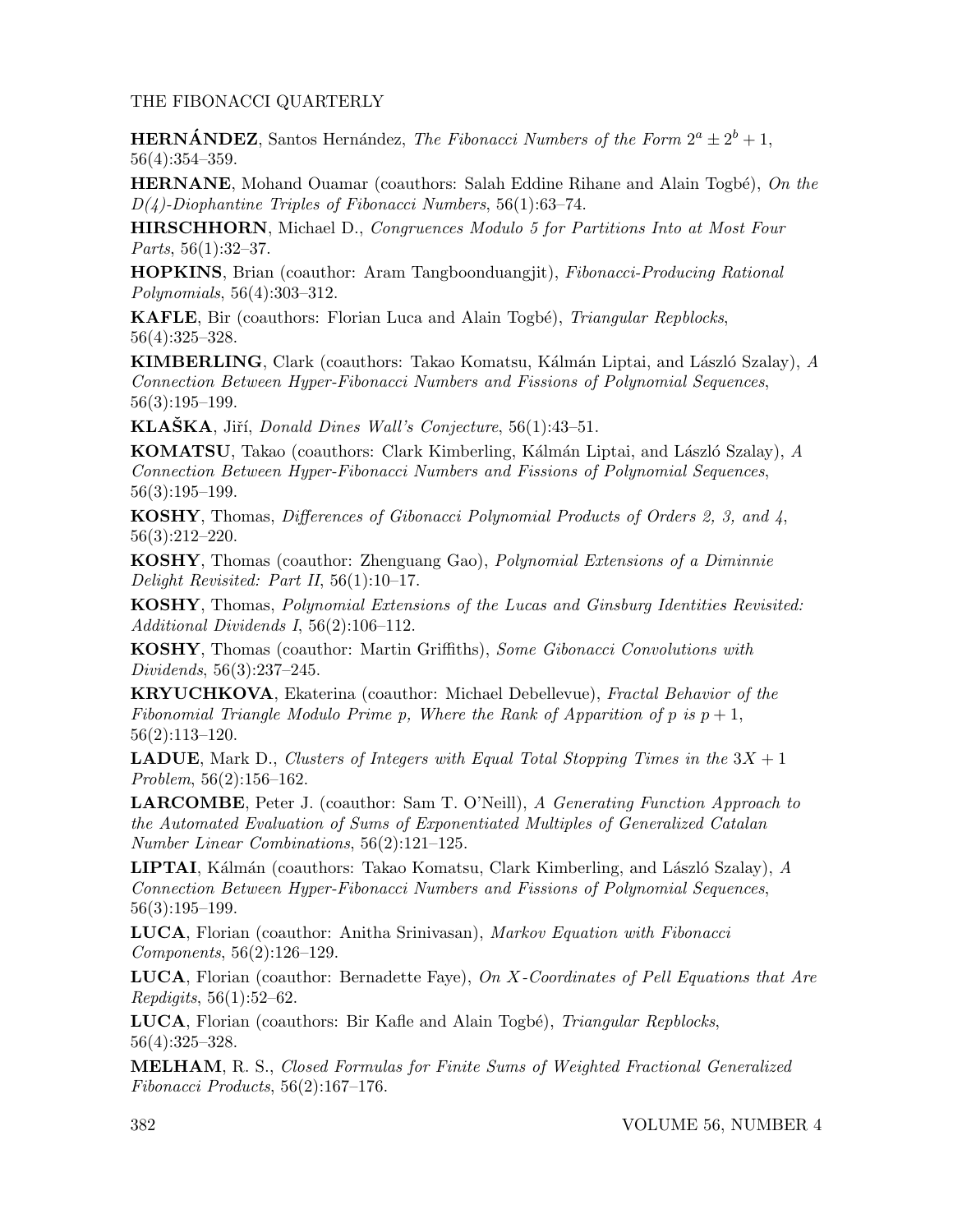## THE FIBONACCI QUARTERLY

**HERNÁNDEZ**, Santos Hernández, *The Fibonacci Numbers of the Form*  $2^a \pm 2^b + 1$ , 56(4):354–359.

**HERNANE**, Mohand Ouamar (coauthors: Salah Eddine Rihane and Alain Togbé), On the  $D(4)$ -Diophantine Triples of Fibonacci Numbers, 56(1):63-74.

HIRSCHHORN, Michael D., Congruences Modulo 5 for Partitions Into at Most Four Parts, 56(1):32–37.

HOPKINS, Brian (coauthor: Aram Tangboonduangjit), Fibonacci-Producing Rational Polynomials, 56(4):303–312.

KAFLE, Bir (coauthors: Florian Luca and Alain Togbé), Triangular Repblocks, 56(4):325–328.

**KIMBERLING**, Clark (coauthors: Takao Komatsu, Kálmán Liptai, and László Szalay),  $A$ Connection Between Hyper-Fibonacci Numbers and Fissions of Polynomial Sequences, 56(3):195–199.

KLAŠKA, Jiří, Donald Dines Wall's Conjecture, 56(1):43–51.

KOMATSU, Takao (coauthors: Clark Kimberling, Kálmán Liptai, and László Szalay), A Connection Between Hyper-Fibonacci Numbers and Fissions of Polynomial Sequences, 56(3):195–199.

KOSHY, Thomas, Differences of Gibonacci Polynomial Products of Orders 2, 3, and 4, 56(3):212–220.

KOSHY, Thomas (coauthor: Zhenguang Gao), Polynomial Extensions of a Diminnie Delight Revisited: Part II, 56(1):10–17.

KOSHY, Thomas, Polynomial Extensions of the Lucas and Ginsburg Identities Revisited: Additional Dividends I, 56(2):106–112.

KOSHY, Thomas (coauthor: Martin Griffiths), Some Gibonacci Convolutions with Dividends, 56(3):237–245.

KRYUCHKOVA, Ekaterina (coauthor: Michael Debellevue), Fractal Behavior of the Fibonomial Triangle Modulo Prime p, Where the Rank of Apparition of p is  $p + 1$ , 56(2):113–120.

**LADUE**, Mark D., Clusters of Integers with Equal Total Stopping Times in the  $3X + 1$ Problem, 56(2):156–162.

LARCOMBE, Peter J. (coauthor: Sam T. O'Neill), A Generating Function Approach to the Automated Evaluation of Sums of Exponentiated Multiples of Generalized Catalan Number Linear Combinations, 56(2):121–125.

**LIPTAI**, Kálmán (coauthors: Takao Komatsu, Clark Kimberling, and László Szalay),  $\tilde{A}$ Connection Between Hyper-Fibonacci Numbers and Fissions of Polynomial Sequences, 56(3):195–199.

LUCA, Florian (coauthor: Anitha Srinivasan), Markov Equation with Fibonacci Components, 56(2):126–129.

**LUCA**, Florian (coauthor: Bernadette Faye), On X-Coordinates of Pell Equations that Are Repdigits, 56(1):52–62.

**LUCA**, Florian (coauthors: Bir Kafle and Alain Togbé), Triangular Repblocks, 56(4):325–328.

MELHAM, R. S., Closed Formulas for Finite Sums of Weighted Fractional Generalized Fibonacci Products, 56(2):167–176.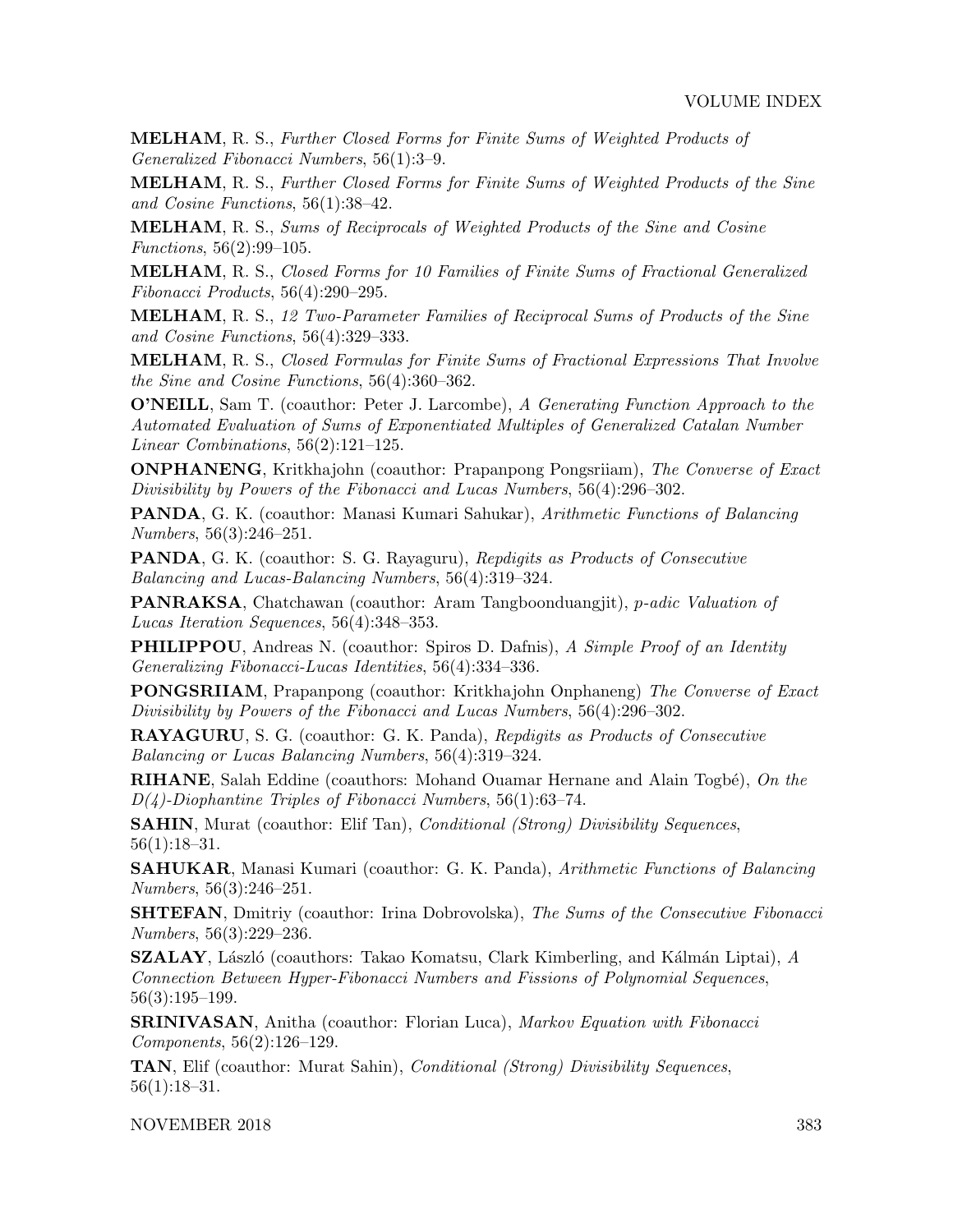MELHAM, R. S., Further Closed Forms for Finite Sums of Weighted Products of Generalized Fibonacci Numbers, 56(1):3–9.

MELHAM, R. S., Further Closed Forms for Finite Sums of Weighted Products of the Sine and Cosine Functions, 56(1):38–42.

MELHAM, R. S., Sums of Reciprocals of Weighted Products of the Sine and Cosine Functions, 56(2):99–105.

MELHAM, R. S., Closed Forms for 10 Families of Finite Sums of Fractional Generalized Fibonacci Products, 56(4):290–295.

MELHAM, R. S., 12 Two-Parameter Families of Reciprocal Sums of Products of the Sine and Cosine Functions, 56(4):329–333.

MELHAM, R. S., Closed Formulas for Finite Sums of Fractional Expressions That Involve the Sine and Cosine Functions, 56(4):360–362.

O'NEILL, Sam T. (coauthor: Peter J. Larcombe), A Generating Function Approach to the Automated Evaluation of Sums of Exponentiated Multiples of Generalized Catalan Number Linear Combinations, 56(2):121–125.

ONPHANENG, Kritkhajohn (coauthor: Prapanpong Pongsriiam), The Converse of Exact Divisibility by Powers of the Fibonacci and Lucas Numbers, 56(4):296–302.

PANDA, G. K. (coauthor: Manasi Kumari Sahukar), Arithmetic Functions of Balancing Numbers, 56(3):246–251.

PANDA, G. K. (coauthor: S. G. Rayaguru), Repdigits as Products of Consecutive Balancing and Lucas-Balancing Numbers, 56(4):319–324.

**PANRAKSA**, Chatchawan (coauthor: Aram Tangboonduangjit), *p-adic Valuation of* Lucas Iteration Sequences, 56(4):348–353.

PHILIPPOU, Andreas N. (coauthor: Spiros D. Dafnis), A Simple Proof of an Identity Generalizing Fibonacci-Lucas Identities, 56(4):334–336.

PONGSRIIAM, Prapanpong (coauthor: Kritkhajohn Onphaneng) The Converse of Exact Divisibility by Powers of the Fibonacci and Lucas Numbers, 56(4):296–302.

RAYAGURU, S. G. (coauthor: G. K. Panda), Repdigits as Products of Consecutive Balancing or Lucas Balancing Numbers, 56(4):319–324.

**RIHANE**, Salah Eddine (coauthors: Mohand Ouamar Hernane and Alain Togbé), On the  $D(4)$ -Diophantine Triples of Fibonacci Numbers, 56(1):63–74.

SAHIN, Murat (coauthor: Elif Tan), *Conditional (Strong) Divisibility Sequences*, 56(1):18–31.

SAHUKAR, Manasi Kumari (coauthor: G. K. Panda), Arithmetic Functions of Balancing Numbers, 56(3):246–251.

**SHTEFAN**, Dmitriy (coauthor: Irina Dobrovolska), The Sums of the Consecutive Fibonacci Numbers, 56(3):229–236.

**SZALAY**, László (coauthors: Takao Komatsu, Clark Kimberling, and Kálmán Liptai),  $A$ Connection Between Hyper-Fibonacci Numbers and Fissions of Polynomial Sequences, 56(3):195–199.

**SRINIVASAN**, Anitha (coauthor: Florian Luca), Markov Equation with Fibonacci Components, 56(2):126–129.

TAN, Elif (coauthor: Murat Sahin), Conditional (Strong) Divisibility Sequences, 56(1):18–31.

NOVEMBER 2018 383